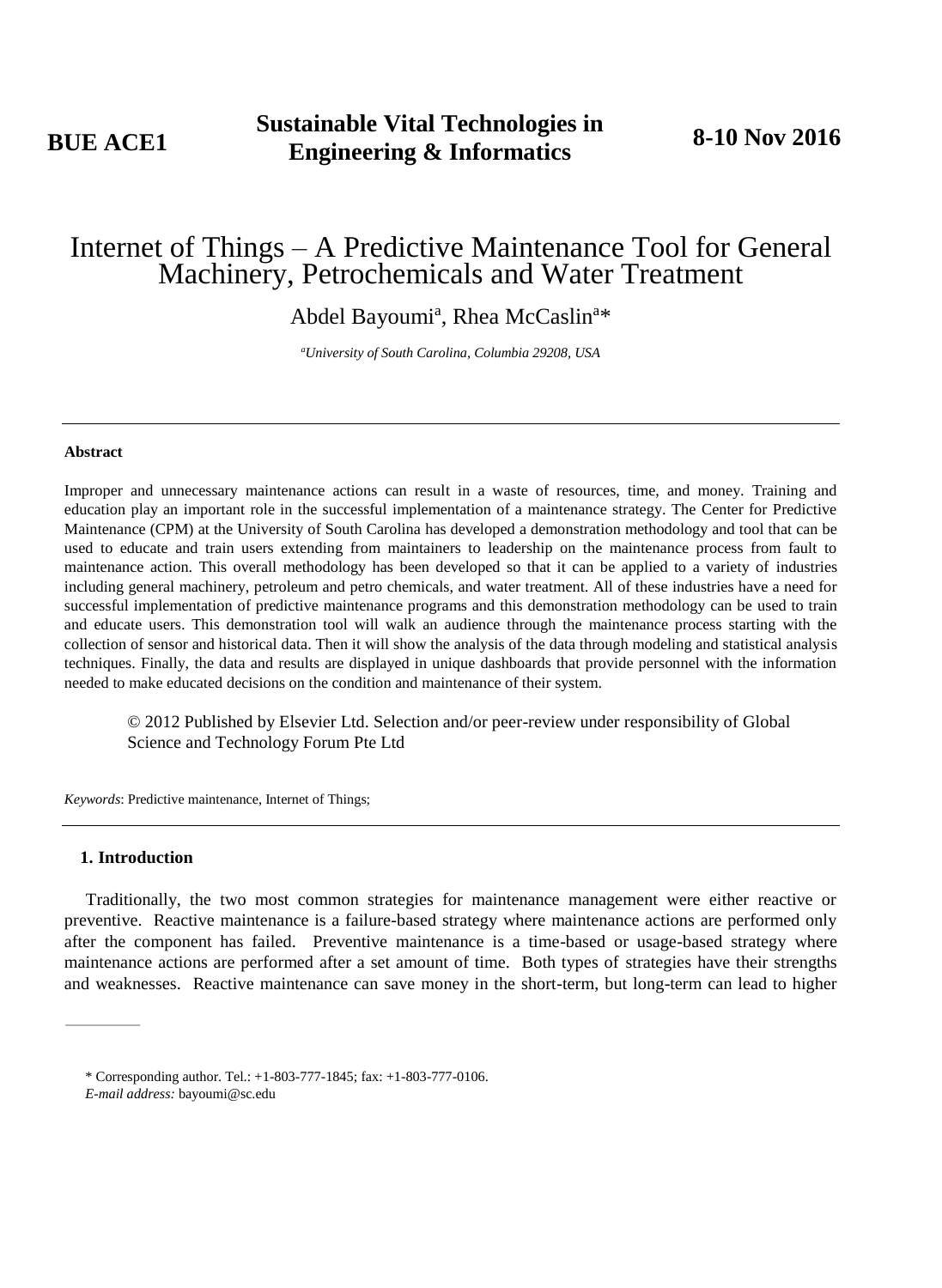**BUE ACE1**

# Internet of Things – A Predictive Maintenance Tool for General Machinery, Petrochemicals and Water Treatment

Abdel Bayoumi<sup>a</sup>, Rhea McCaslin<sup>a\*</sup>

*<sup>a</sup>University of South Carolina, Columbia 29208, USA*

# **Abstract**

Improper and unnecessary maintenance actions can result in a waste of resources, time, and money. Training and education play an important role in the successful implementation of a maintenance strategy. The Center for Predictive Maintenance (CPM) at the University of South Carolina has developed a demonstration methodology and tool that can be used to educate and train users extending from maintainers to leadership on the maintenance process from fault to maintenance action. This overall methodology has been developed so that it can be applied to a variety of industries including general machinery, petroleum and petro chemicals, and water treatment. All of these industries have a need for successful implementation of predictive maintenance programs and this demonstration methodology can be used to train and educate users. This demonstration tool will walk an audience through the maintenance process starting with the collection of sensor and historical data. Then it will show the analysis of the data through modeling and statistical analysis techniques. Finally, the data and results are displayed in unique dashboards that provide personnel with the information needed to make educated decisions on the condition and maintenance of their system.

© 2012 Published by Elsevier Ltd. Selection and/or peer-review under responsibility of Global Science and Technology Forum Pte Ltd

*Keywords*: Predictive maintenance, Internet of Things;

# **1. Introduction**

Traditionally, the two most common strategies for maintenance management were either reactive or preventive. Reactive maintenance is a failure-based strategy where maintenance actions are performed only after the component has failed. Preventive maintenance is a time-based or usage-based strategy where maintenance actions are performed after a set amount of time. Both types of strategies have their strengths and weaknesses. Reactive maintenance can save money in the short-term, but long-term can lead to higher

<sup>\*</sup> Corresponding author. Tel.: +1-803-777-1845; fax: +1-803-777-0106.

*E-mail address:* bayoumi@sc.edu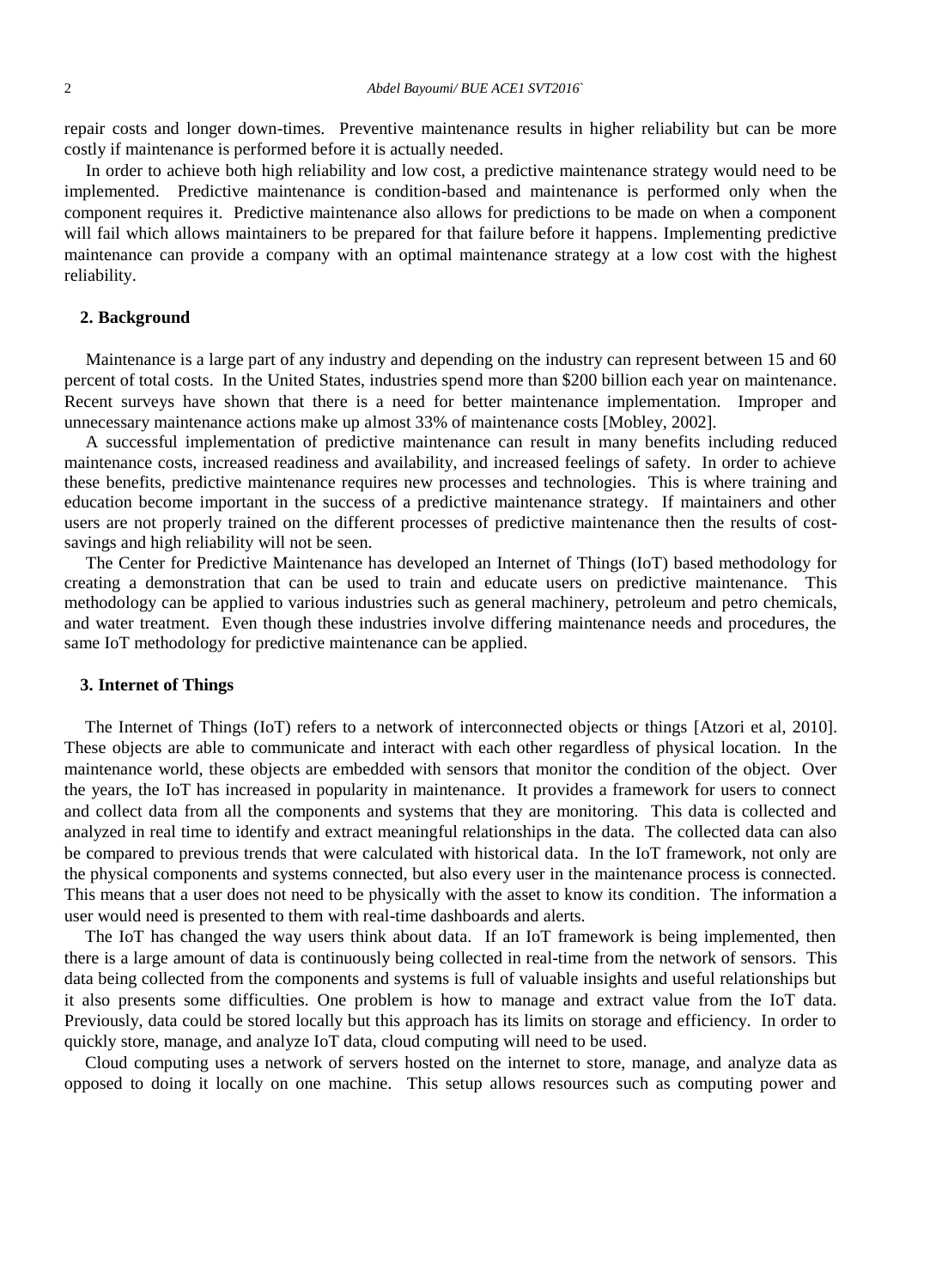repair costs and longer down-times. Preventive maintenance results in higher reliability but can be more costly if maintenance is performed before it is actually needed.

In order to achieve both high reliability and low cost, a predictive maintenance strategy would need to be implemented. Predictive maintenance is condition-based and maintenance is performed only when the component requires it. Predictive maintenance also allows for predictions to be made on when a component will fail which allows maintainers to be prepared for that failure before it happens. Implementing predictive maintenance can provide a company with an optimal maintenance strategy at a low cost with the highest reliability.

## **2. Background**

Maintenance is a large part of any industry and depending on the industry can represent between 15 and 60 percent of total costs. In the United States, industries spend more than \$200 billion each year on maintenance. Recent surveys have shown that there is a need for better maintenance implementation. Improper and unnecessary maintenance actions make up almost 33% of maintenance costs [Mobley, 2002].

A successful implementation of predictive maintenance can result in many benefits including reduced maintenance costs, increased readiness and availability, and increased feelings of safety. In order to achieve these benefits, predictive maintenance requires new processes and technologies. This is where training and education become important in the success of a predictive maintenance strategy. If maintainers and other users are not properly trained on the different processes of predictive maintenance then the results of costsavings and high reliability will not be seen.

The Center for Predictive Maintenance has developed an Internet of Things (IoT) based methodology for creating a demonstration that can be used to train and educate users on predictive maintenance. This methodology can be applied to various industries such as general machinery, petroleum and petro chemicals, and water treatment. Even though these industries involve differing maintenance needs and procedures, the same IoT methodology for predictive maintenance can be applied.

## **3. Internet of Things**

The Internet of Things (IoT) refers to a network of interconnected objects or things [Atzori et al, 2010]. These objects are able to communicate and interact with each other regardless of physical location. In the maintenance world, these objects are embedded with sensors that monitor the condition of the object. Over the years, the IoT has increased in popularity in maintenance. It provides a framework for users to connect and collect data from all the components and systems that they are monitoring. This data is collected and analyzed in real time to identify and extract meaningful relationships in the data. The collected data can also be compared to previous trends that were calculated with historical data. In the IoT framework, not only are the physical components and systems connected, but also every user in the maintenance process is connected. This means that a user does not need to be physically with the asset to know its condition. The information a user would need is presented to them with real-time dashboards and alerts.

The IoT has changed the way users think about data. If an IoT framework is being implemented, then there is a large amount of data is continuously being collected in real-time from the network of sensors. This data being collected from the components and systems is full of valuable insights and useful relationships but it also presents some difficulties. One problem is how to manage and extract value from the IoT data. Previously, data could be stored locally but this approach has its limits on storage and efficiency. In order to quickly store, manage, and analyze IoT data, cloud computing will need to be used.

Cloud computing uses a network of servers hosted on the internet to store, manage, and analyze data as opposed to doing it locally on one machine. This setup allows resources such as computing power and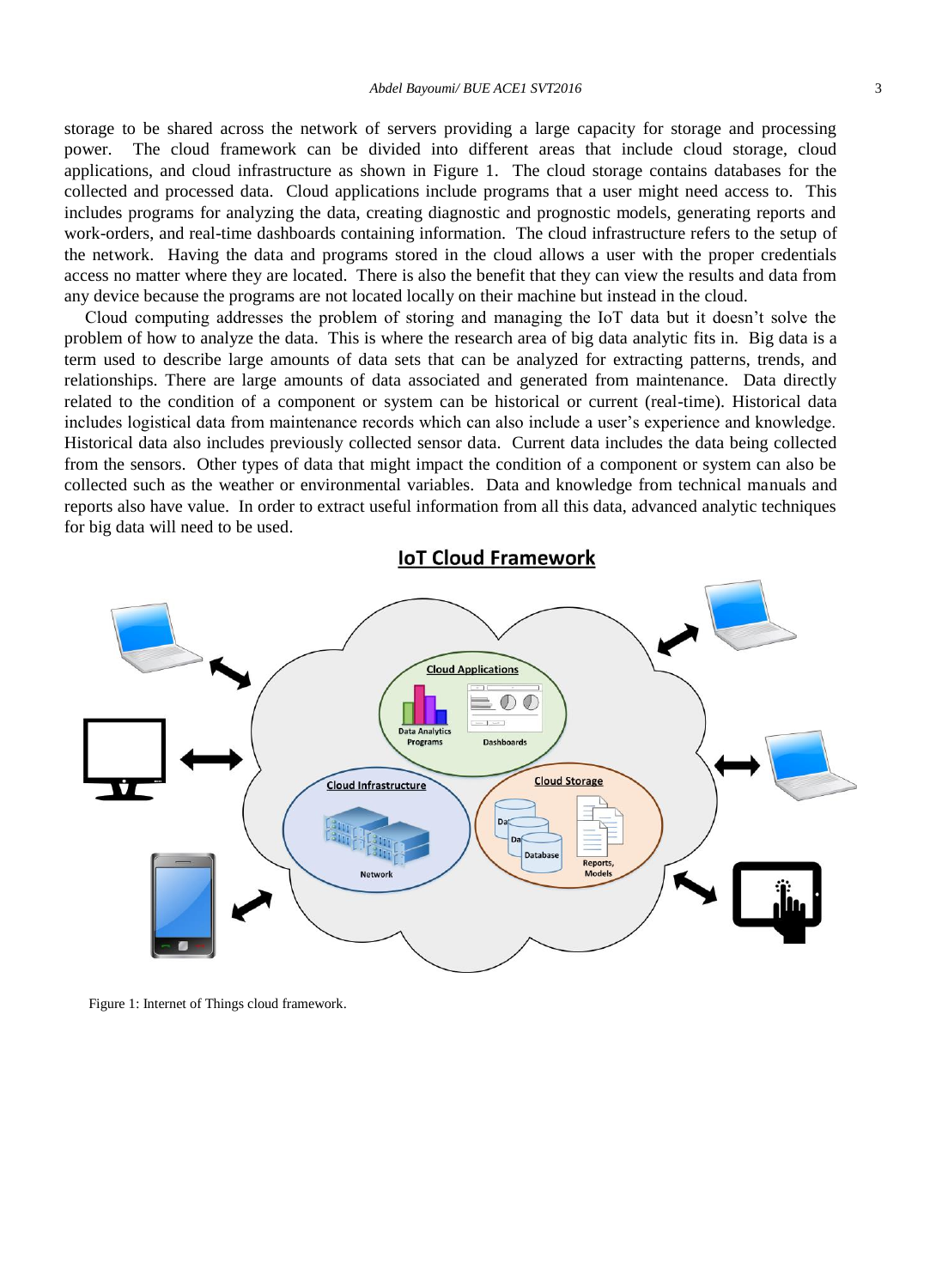storage to be shared across the network of servers providing a large capacity for storage and processing power. The cloud framework can be divided into different areas that include cloud storage, cloud applications, and cloud infrastructure as shown in Figure 1. The cloud storage contains databases for the collected and processed data. Cloud applications include programs that a user might need access to. This includes programs for analyzing the data, creating diagnostic and prognostic models, generating reports and work-orders, and real-time dashboards containing information. The cloud infrastructure refers to the setup of the network. Having the data and programs stored in the cloud allows a user with the proper credentials access no matter where they are located. There is also the benefit that they can view the results and data from any device because the programs are not located locally on their machine but instead in the cloud.

Cloud computing addresses the problem of storing and managing the IoT data but it doesn't solve the problem of how to analyze the data. This is where the research area of big data analytic fits in. Big data is a term used to describe large amounts of data sets that can be analyzed for extracting patterns, trends, and relationships. There are large amounts of data associated and generated from maintenance. Data directly related to the condition of a component or system can be historical or current (real-time). Historical data includes logistical data from maintenance records which can also include a user's experience and knowledge. Historical data also includes previously collected sensor data. Current data includes the data being collected from the sensors. Other types of data that might impact the condition of a component or system can also be collected such as the weather or environmental variables. Data and knowledge from technical manuals and reports also have value. In order to extract useful information from all this data, advanced analytic techniques for big data will need to be used.

# **IoT Cloud Framework**



Figure 1: Internet of Things cloud framework.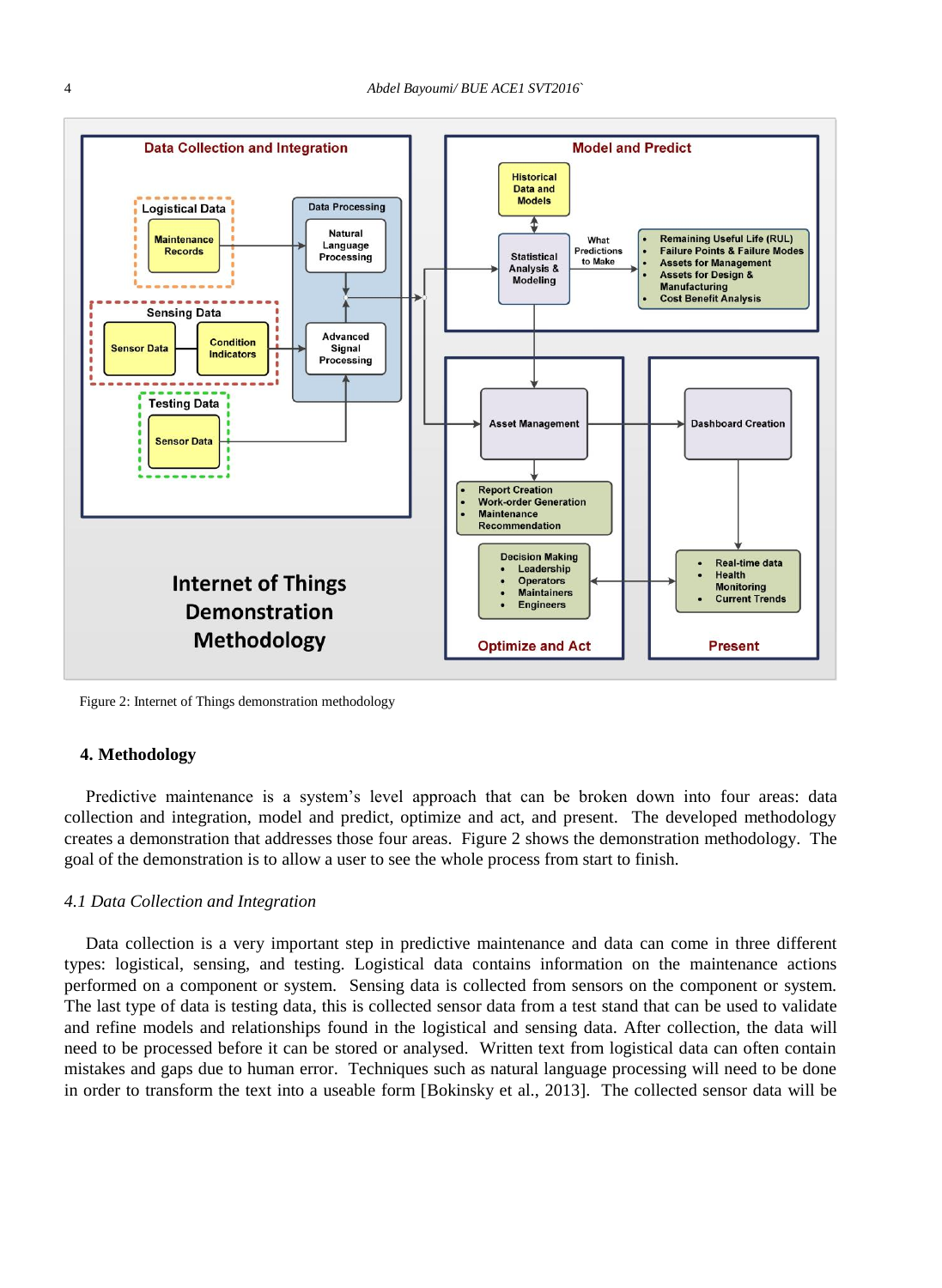

Figure 2: Internet of Things demonstration methodology

#### **4. Methodology**

Predictive maintenance is a system's level approach that can be broken down into four areas: data collection and integration, model and predict, optimize and act, and present. The developed methodology creates a demonstration that addresses those four areas. Figure 2 shows the demonstration methodology. The goal of the demonstration is to allow a user to see the whole process from start to finish.

#### *4.1 Data Collection and Integration*

Data collection is a very important step in predictive maintenance and data can come in three different types: logistical, sensing, and testing. Logistical data contains information on the maintenance actions performed on a component or system. Sensing data is collected from sensors on the component or system. The last type of data is testing data, this is collected sensor data from a test stand that can be used to validate and refine models and relationships found in the logistical and sensing data. After collection, the data will need to be processed before it can be stored or analysed. Written text from logistical data can often contain mistakes and gaps due to human error. Techniques such as natural language processing will need to be done in order to transform the text into a useable form [Bokinsky et al., 2013]. The collected sensor data will be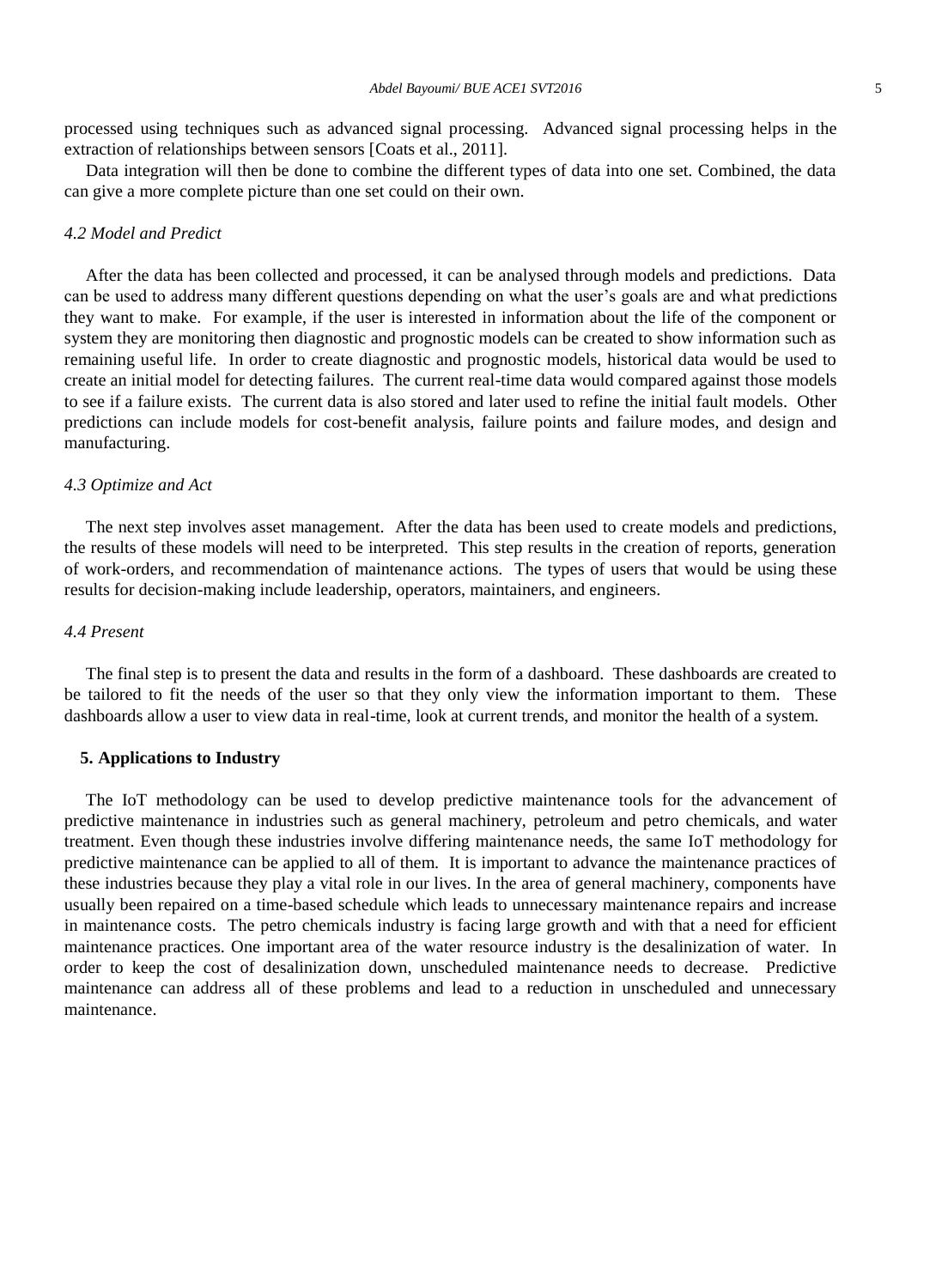processed using techniques such as advanced signal processing. Advanced signal processing helps in the extraction of relationships between sensors [Coats et al., 2011].

Data integration will then be done to combine the different types of data into one set. Combined, the data can give a more complete picture than one set could on their own.

# *4.2 Model and Predict*

After the data has been collected and processed, it can be analysed through models and predictions. Data can be used to address many different questions depending on what the user's goals are and what predictions they want to make. For example, if the user is interested in information about the life of the component or system they are monitoring then diagnostic and prognostic models can be created to show information such as remaining useful life. In order to create diagnostic and prognostic models, historical data would be used to create an initial model for detecting failures. The current real-time data would compared against those models to see if a failure exists. The current data is also stored and later used to refine the initial fault models. Other predictions can include models for cost-benefit analysis, failure points and failure modes, and design and manufacturing.

## *4.3 Optimize and Act*

The next step involves asset management. After the data has been used to create models and predictions, the results of these models will need to be interpreted. This step results in the creation of reports, generation of work-orders, and recommendation of maintenance actions. The types of users that would be using these results for decision-making include leadership, operators, maintainers, and engineers.

# *4.4 Present*

The final step is to present the data and results in the form of a dashboard. These dashboards are created to be tailored to fit the needs of the user so that they only view the information important to them. These dashboards allow a user to view data in real-time, look at current trends, and monitor the health of a system.

#### **5. Applications to Industry**

The IoT methodology can be used to develop predictive maintenance tools for the advancement of predictive maintenance in industries such as general machinery, petroleum and petro chemicals, and water treatment. Even though these industries involve differing maintenance needs, the same IoT methodology for predictive maintenance can be applied to all of them. It is important to advance the maintenance practices of these industries because they play a vital role in our lives. In the area of general machinery, components have usually been repaired on a time-based schedule which leads to unnecessary maintenance repairs and increase in maintenance costs. The petro chemicals industry is facing large growth and with that a need for efficient maintenance practices. One important area of the water resource industry is the desalinization of water. In order to keep the cost of desalinization down, unscheduled maintenance needs to decrease. Predictive maintenance can address all of these problems and lead to a reduction in unscheduled and unnecessary maintenance.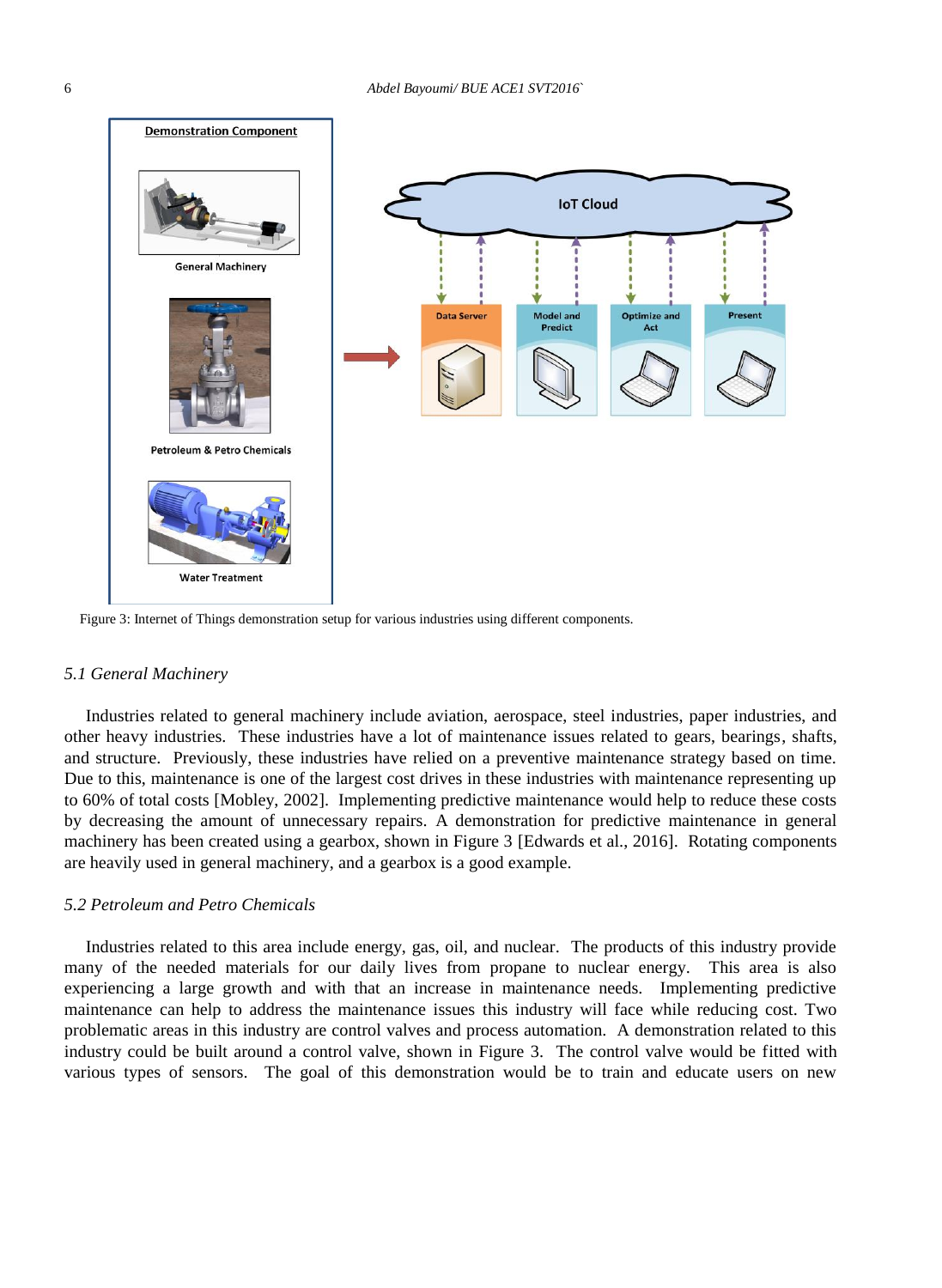

Figure 3: Internet of Things demonstration setup for various industries using different components.

# *5.1 General Machinery*

Industries related to general machinery include aviation, aerospace, steel industries, paper industries, and other heavy industries. These industries have a lot of maintenance issues related to gears, bearings, shafts, and structure. Previously, these industries have relied on a preventive maintenance strategy based on time. Due to this, maintenance is one of the largest cost drives in these industries with maintenance representing up to 60% of total costs [Mobley, 2002]. Implementing predictive maintenance would help to reduce these costs by decreasing the amount of unnecessary repairs. A demonstration for predictive maintenance in general machinery has been created using a gearbox, shown in Figure 3 [Edwards et al., 2016]. Rotating components are heavily used in general machinery, and a gearbox is a good example.

#### *5.2 Petroleum and Petro Chemicals*

Industries related to this area include energy, gas, oil, and nuclear. The products of this industry provide many of the needed materials for our daily lives from propane to nuclear energy. This area is also experiencing a large growth and with that an increase in maintenance needs. Implementing predictive maintenance can help to address the maintenance issues this industry will face while reducing cost. Two problematic areas in this industry are control valves and process automation. A demonstration related to this industry could be built around a control valve, shown in Figure 3. The control valve would be fitted with various types of sensors. The goal of this demonstration would be to train and educate users on new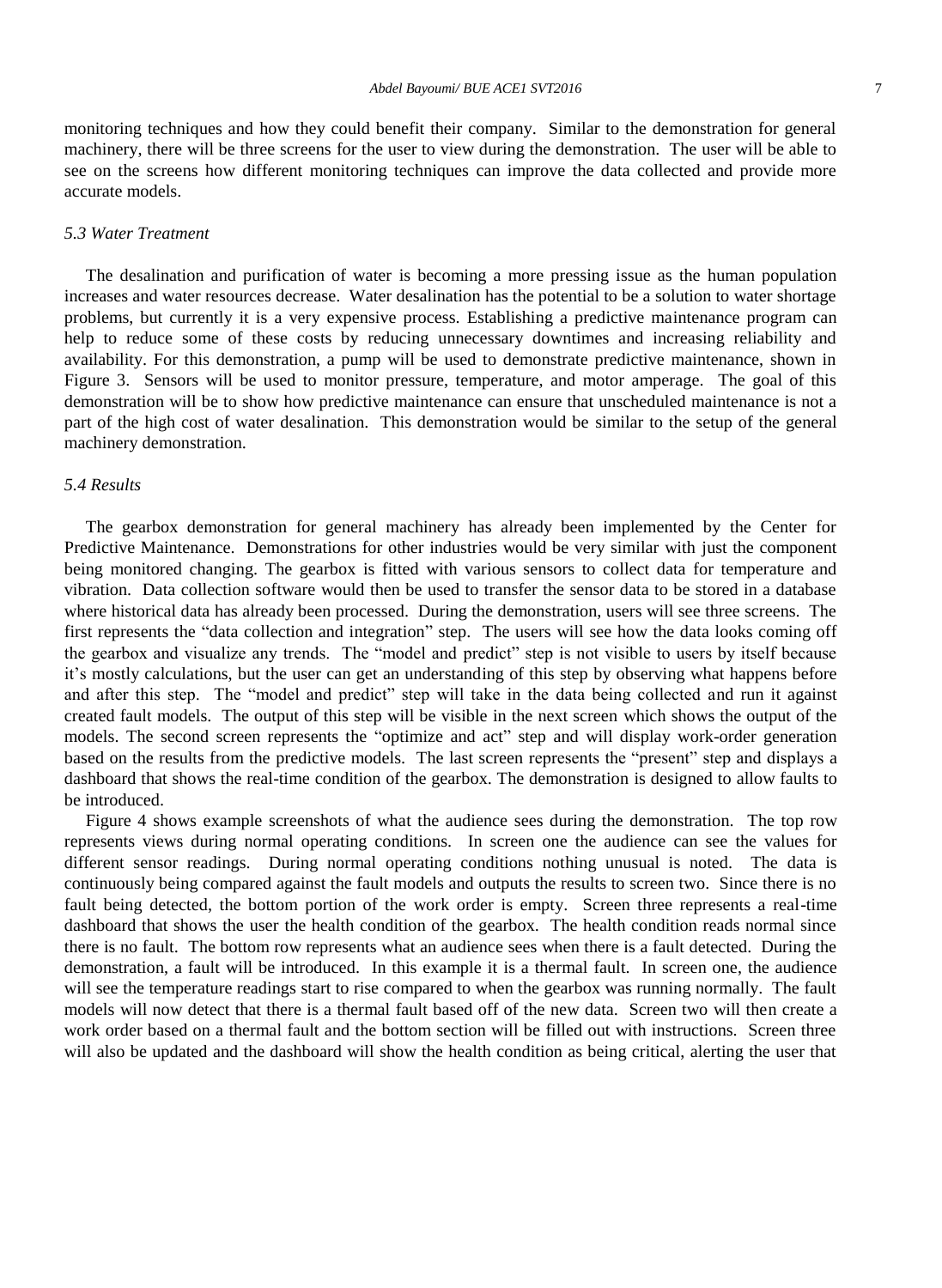monitoring techniques and how they could benefit their company. Similar to the demonstration for general machinery, there will be three screens for the user to view during the demonstration. The user will be able to see on the screens how different monitoring techniques can improve the data collected and provide more accurate models.

# *5.3 Water Treatment*

The desalination and purification of water is becoming a more pressing issue as the human population increases and water resources decrease. Water desalination has the potential to be a solution to water shortage problems, but currently it is a very expensive process. Establishing a predictive maintenance program can help to reduce some of these costs by reducing unnecessary downtimes and increasing reliability and availability. For this demonstration, a pump will be used to demonstrate predictive maintenance, shown in Figure 3. Sensors will be used to monitor pressure, temperature, and motor amperage. The goal of this demonstration will be to show how predictive maintenance can ensure that unscheduled maintenance is not a part of the high cost of water desalination. This demonstration would be similar to the setup of the general machinery demonstration.

#### *5.4 Results*

The gearbox demonstration for general machinery has already been implemented by the Center for Predictive Maintenance. Demonstrations for other industries would be very similar with just the component being monitored changing. The gearbox is fitted with various sensors to collect data for temperature and vibration. Data collection software would then be used to transfer the sensor data to be stored in a database where historical data has already been processed. During the demonstration, users will see three screens. The first represents the "data collection and integration" step. The users will see how the data looks coming off the gearbox and visualize any trends. The "model and predict" step is not visible to users by itself because it's mostly calculations, but the user can get an understanding of this step by observing what happens before and after this step. The "model and predict" step will take in the data being collected and run it against created fault models. The output of this step will be visible in the next screen which shows the output of the models. The second screen represents the "optimize and act" step and will display work-order generation based on the results from the predictive models. The last screen represents the "present" step and displays a dashboard that shows the real-time condition of the gearbox. The demonstration is designed to allow faults to be introduced.

Figure 4 shows example screenshots of what the audience sees during the demonstration. The top row represents views during normal operating conditions. In screen one the audience can see the values for different sensor readings. During normal operating conditions nothing unusual is noted. The data is continuously being compared against the fault models and outputs the results to screen two. Since there is no fault being detected, the bottom portion of the work order is empty. Screen three represents a real-time dashboard that shows the user the health condition of the gearbox. The health condition reads normal since there is no fault. The bottom row represents what an audience sees when there is a fault detected. During the demonstration, a fault will be introduced. In this example it is a thermal fault. In screen one, the audience will see the temperature readings start to rise compared to when the gearbox was running normally. The fault models will now detect that there is a thermal fault based off of the new data. Screen two will then create a work order based on a thermal fault and the bottom section will be filled out with instructions. Screen three will also be updated and the dashboard will show the health condition as being critical, alerting the user that